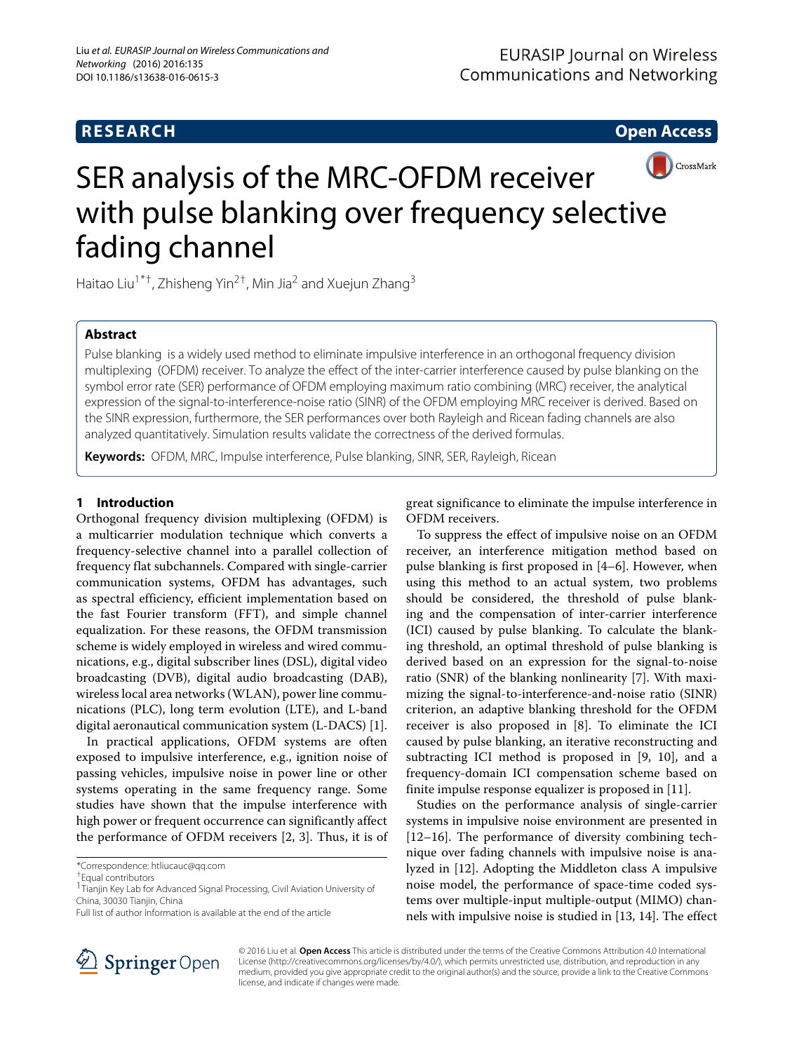## **RESEARCH Open Access**



# SER analysis of the MRC-OFDM receiver with pulse blanking over frequency selective fading channel

Haitao Liu<sup>1\*†</sup>, Zhisheng Yin<sup>2†</sup>, Min Jia<sup>2</sup> and Xuejun Zhang<sup>3</sup>

## **Abstract**

Pulse blanking is a widely used method to eliminate impulsive interference in an orthogonal frequency division multiplexing (OFDM) receiver. To analyze the effect of the inter-carrier interference caused by pulse blanking on the symbol error rate (SER) performance of OFDM employing maximum ratio combining (MRC) receiver, the analytical expression of the signal-to-interference-noise ratio (SINR) of the OFDM employing MRC receiver is derived. Based on the SINR expression, furthermore, the SER performances over both Rayleigh and Ricean fading channels are also analyzed quantitatively. Simulation results validate the correctness of the derived formulas.

**Keywords:** OFDM, MRC, Impulse interference, Pulse blanking, SINR, SER, Rayleigh, Ricean

## **1 Introduction**

Orthogonal frequency division multiplexing (OFDM) is a multicarrier modulation technique which converts a frequency-selective channel into a parallel collection of frequency flat subchannels. Compared with single-carrier communication systems, OFDM has advantages, such as spectral efficiency, efficient implementation based on the fast Fourier transform (FFT), and simple channel equalization. For these reasons, the OFDM transmission scheme is widely employed in wireless and wired communications, e.g., digital subscriber lines (DSL), digital video broadcasting (DVB), digital audio broadcasting (DAB), wireless local area networks (WLAN), power line communications (PLC), long term evolution (LTE), and L-band digital aeronautical communication system (L-DACS) [\[1\]](#page-10-0).

In practical applications, OFDM systems are often exposed to impulsive interference, e.g., ignition noise of passing vehicles, impulsive noise in power line or other systems operating in the same frequency range. Some studies have shown that the impulse interference with high power or frequent occurrence can significantly affect the performance of OFDM receivers [\[2,](#page-11-0) [3\]](#page-11-1). Thus, it is of

†Equal contributors



To suppress the effect of impulsive noise on an OFDM receiver, an interference mitigation method based on pulse blanking is first proposed in [\[4–](#page-11-2)[6\]](#page-11-3). However, when using this method to an actual system, two problems should be considered, the threshold of pulse blanking and the compensation of inter-carrier interference (ICI) caused by pulse blanking. To calculate the blanking threshold, an optimal threshold of pulse blanking is derived based on an expression for the signal-to-noise ratio (SNR) of the blanking nonlinearity [\[7\]](#page-11-4). With maximizing the signal-to-interference-and-noise ratio (SINR) criterion, an adaptive blanking threshold for the OFDM receiver is also proposed in [\[8\]](#page-11-5). To eliminate the ICI caused by pulse blanking, an iterative reconstructing and subtracting ICI method is proposed in [\[9,](#page-11-6) [10\]](#page-11-7), and a frequency-domain ICI compensation scheme based on finite impulse response equalizer is proposed in [\[11\]](#page-11-8).

Studies on the performance analysis of single-carrier systems in impulsive noise environment are presented in [\[12](#page-11-9)[–16\]](#page-11-10). The performance of diversity combining technique over fading channels with impulsive noise is analyzed in [\[12\]](#page-11-9). Adopting the Middleton class A impulsive noise model, the performance of space-time coded systems over multiple-input multiple-output (MIMO) channels with impulsive noise is studied in [\[13,](#page-11-11) [14\]](#page-11-12). The effect



© 2016 Liu et al. **Open Access** This article is distributed under the terms of the Creative Commons Attribution 4.0 International License [\(http://creativecommons.org/licenses/by/4.0/\)](http://creativecommons.org/licenses/by/4.0/), which permits unrestricted use, distribution, and reproduction in any medium, provided you give appropriate credit to the original author(s) and the source, provide a link to the Creative Commons license, and indicate if changes were made.

<sup>\*</sup>Correspondence: [htliucauc@qq.com](mailto: htliucauc@qq.com)

<sup>1</sup>Tianjin Key Lab for Advanced Signal Processing, Civil Aviation University of China, 30030 Tianjin, China

Full list of author information is available at the end of the article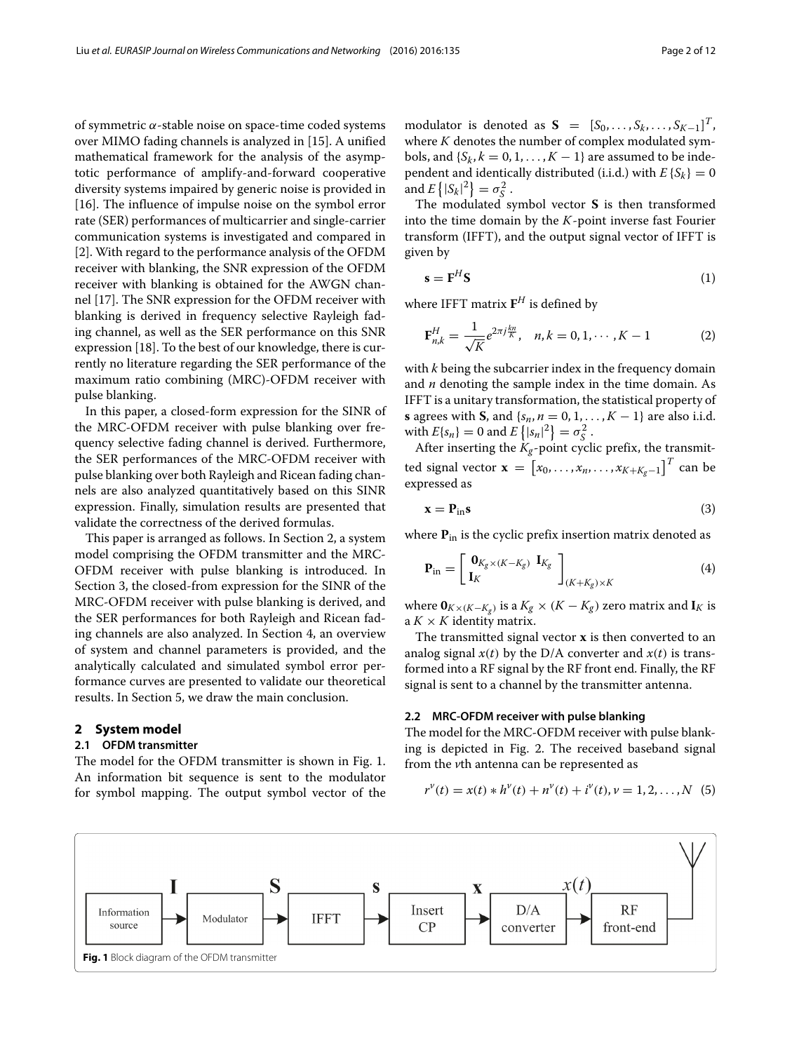of symmetric  $\alpha$ -stable noise on space-time coded systems over MIMO fading channels is analyzed in [\[15\]](#page-11-13). A unified mathematical framework for the analysis of the asymptotic performance of amplify-and-forward cooperative diversity systems impaired by generic noise is provided in [\[16\]](#page-11-10). The influence of impulse noise on the symbol error rate (SER) performances of multicarrier and single-carrier communication systems is investigated and compared in [\[2\]](#page-11-0). With regard to the performance analysis of the OFDM receiver with blanking, the SNR expression of the OFDM receiver with blanking is obtained for the AWGN channel [\[17\]](#page-11-14). The SNR expression for the OFDM receiver with blanking is derived in frequency selective Rayleigh fading channel, as well as the SER performance on this SNR expression [\[18\]](#page-11-15). To the best of our knowledge, there is currently no literature regarding the SER performance of the maximum ratio combining (MRC)-OFDM receiver with pulse blanking.

In this paper, a closed-form expression for the SINR of the MRC-OFDM receiver with pulse blanking over frequency selective fading channel is derived. Furthermore, the SER performances of the MRC-OFDM receiver with pulse blanking over both Rayleigh and Ricean fading channels are also analyzed quantitatively based on this SINR expression. Finally, simulation results are presented that validate the correctness of the derived formulas.

This paper is arranged as follows. In Section [2,](#page-1-0) a system model comprising the OFDM transmitter and the MRC-OFDM receiver with pulse blanking is introduced. In Section [3,](#page-3-0) the closed-from expression for the SINR of the MRC-OFDM receiver with pulse blanking is derived, and the SER performances for both Rayleigh and Ricean fading channels are also analyzed. In Section [4,](#page-6-0) an overview of system and channel parameters is provided, and the analytically calculated and simulated symbol error performance curves are presented to validate our theoretical results. In Section [5,](#page-8-0) we draw the main conclusion.

#### <span id="page-1-0"></span>**2 System model**

#### **2.1 OFDM transmitter**

The model for the OFDM transmitter is shown in Fig. [1.](#page-1-1) An information bit sequence is sent to the modulator for symbol mapping. The output symbol vector of the

modulator is denoted as  $S = [S_0, \ldots, S_k, \ldots, S_{K-1}]^T$ , where *K* denotes the number of complex modulated symbols, and  $\{S_k, k = 0, 1, \ldots, K - 1\}$  are assumed to be independent and identically distributed (i.i.d.) with  $E\{S_k\} = 0$ and  $E\{|S_k|^2\} = \sigma_S^2$ .

The modulated symbol vector **S** is then transformed into the time domain by the *K*-point inverse fast Fourier transform (IFFT), and the output signal vector of IFFT is given by

<span id="page-1-2"></span>
$$
\mathbf{s} = \mathbf{F}^H \mathbf{S} \tag{1}
$$

where IFFT matrix  $F^H$  is defined by

$$
\mathbf{F}_{n,k}^H = \frac{1}{\sqrt{K}} e^{2\pi j \frac{k n}{K}}, \quad n, k = 0, 1, \cdots, K - 1 \tag{2}
$$

with *k* being the subcarrier index in the frequency domain and *n* denoting the sample index in the time domain. As IFFT is a unitary transformation, the statistical property of **s** agrees with **S**, and  $\{s_n, n = 0, 1, \ldots, K - 1\}$  are also i.i.d. with  $E\{s_n\} = 0$  and  $E\{|s_n|^2\} = \sigma_S^2$ .

After inserting the  $K_g$ -point cyclic prefix, the transmitted signal vector  $\mathbf{x} = \begin{bmatrix} x_0, \dots, x_n, \dots, x_{K+K_g-1} \end{bmatrix}^T$  can be expressed as

$$
\mathbf{x} = \mathbf{P}_{\text{in}} \mathbf{s} \tag{3}
$$

where  $P_{in}$  is the cyclic prefix insertion matrix denoted as

$$
\mathbf{P}_{\rm in} = \begin{bmatrix} \mathbf{0}_{K_g \times (K - K_g)} & \mathbf{I}_{K_g} \\ \mathbf{I}_K & \end{bmatrix}_{(K + K_g) \times K} \tag{4}
$$

where  $\mathbf{0}_{K \times (K - K_g)}$  is a  $K_g \times (K - K_g)$  zero matrix and  $\mathbf{I}_K$  is a  $K \times K$  identity matrix.

The transmitted signal vector **x** is then converted to an analog signal  $x(t)$  by the D/A converter and  $x(t)$  is transformed into a RF signal by the RF front end. Finally, the RF signal is sent to a channel by the transmitter antenna.

#### **2.2 MRC-OFDM receiver with pulse blanking**

The model for the MRC-OFDM receiver with pulse blanking is depicted in Fig. [2.](#page-2-0) The received baseband signal from the *v*th antenna can be represented as

$$
r^{\nu}(t) = x(t) * h^{\nu}(t) + n^{\nu}(t) + i^{\nu}(t), \nu = 1, 2, ..., N \quad (5)
$$

<span id="page-1-1"></span>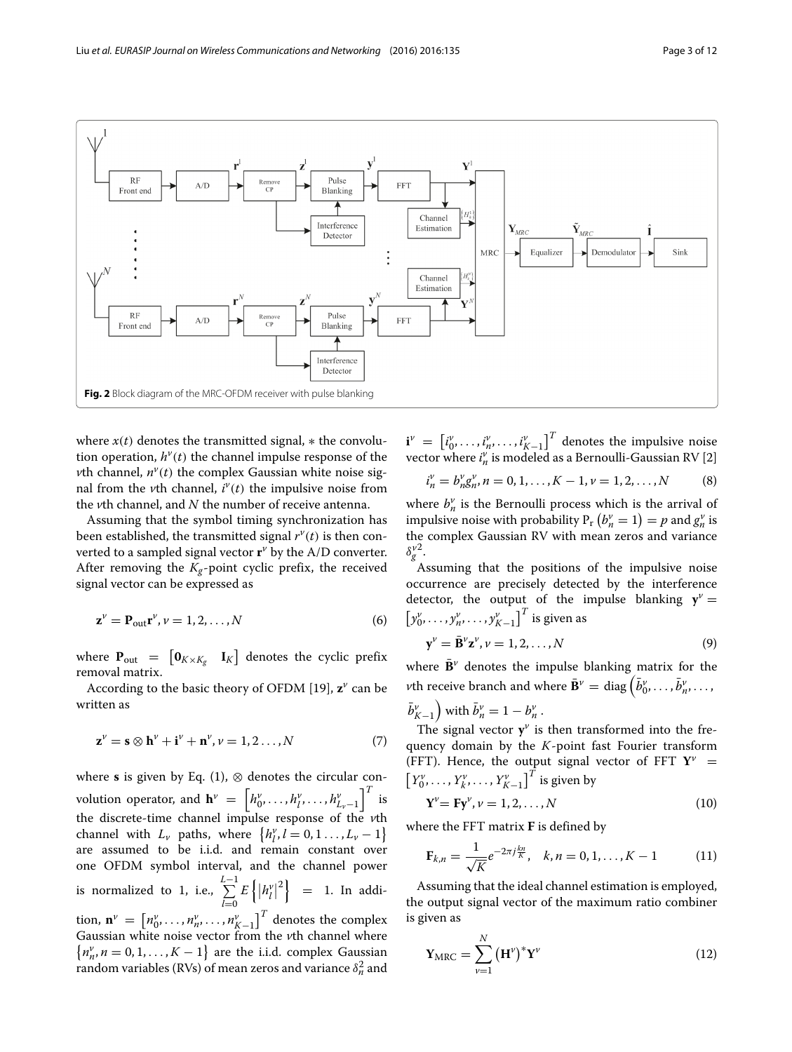

<span id="page-2-0"></span>where  $x(t)$  denotes the transmitted signal,  $*$  the convolution operation,  $h^{\nu}(t)$  the channel impulse response of the *v*th channel,  $n^{\nu}(t)$  the complex Gaussian white noise signal from the *v*th channel,  $i^{\nu}(t)$  the impulsive noise from the *v*th channel, and *N* the number of receive antenna.

Assuming that the symbol timing synchronization has been established, the transmitted signal  $r^{\nu}(t)$  is then converted to a sampled signal vector  $\mathbf{r}^{\nu}$  by the A/D converter. After removing the  $K_g$ -point cyclic prefix, the received signal vector can be expressed as

$$
\mathbf{z}^{\nu} = \mathbf{P}_{\text{out}} \mathbf{r}^{\nu}, \nu = 1, 2, \dots, N \tag{6}
$$

where  $P_{\text{out}} = [\mathbf{0}_{K \times K_g} \quad \mathbf{I}_K]$  denotes the cyclic prefix removal matrix.

According to the basic theory of OFDM [\[19\]](#page-11-16), **z***<sup>v</sup>* can be written as

<span id="page-2-1"></span>
$$
\mathbf{z}^{\nu} = \mathbf{s} \otimes \mathbf{h}^{\nu} + \mathbf{i}^{\nu} + \mathbf{n}^{\nu}, \nu = 1, 2 \dots, N \tag{7}
$$

where **s** is given by Eq. [\(1\)](#page-1-2),  $\otimes$  denotes the circular convolution operator, and  $\mathbf{h}^{\nu} = \begin{bmatrix} h^{\nu}_0, \ldots, h^{\nu}_l, \ldots, h^{\nu}_{L_{\nu}-1} \end{bmatrix}^T$  is the discrete-time channel impulse response of the *v*th channel with  $L_v$  paths, where  $\{h_l^v, l = 0, 1 \dots, L_v - 1\}$ are assumed to be i.i.d. and remain constant over one OFDM symbol interval, and the channel power is normalized to 1, i.e.,  $\sum_{l=0}^{L-1} E\left\{ |h_l^{\nu}| \right\}$ *l*=0  $\begin{bmatrix} 2 \\ 1 \end{bmatrix} = 1$ . In addition,  $\mathbf{n}^{\nu} = \begin{bmatrix} n_0^{\nu}, \dots, n_n^{\nu}, \dots, n_{K-1}^{\nu} \end{bmatrix}^T$  denotes the complex Gaussian white noise vector from the *v*th channel where  ${n<sub>n</sub>^{\nu}}$ ,  $n = 0, 1, ..., K - 1$  are the i.i.d. complex Gaussian random variables (RVs) of mean zeros and variance  $\delta_n^2$  and  $\mathbf{i}^{\nu} = \begin{bmatrix} i^{\nu}_{0}, \dots, i^{\nu}_{K-1} \end{bmatrix}^{T}$  denotes the impulsive noise vector where *i*<sup>v</sup><sub>n</sub> is modeled as a Bernoulli-Gaussian RV [\[2\]](#page-11-0)

$$
i_n^{\nu} = b_n^{\nu} g_n^{\nu}, n = 0, 1, \dots, K - 1, \nu = 1, 2, \dots, N
$$
 (8)

where  $b_n^{\nu}$  is the Bernoulli process which is the arrival of impulsive noise with probability  $P_r(p_n^{\nu} = 1) = p$  and  $g_n^{\nu}$  is the complex Gaussian RV with mean zeros and variance  $\delta_g^{\nu 2}$ .

Assuming that the positions of the impulsive noise occurrence are precisely detected by the interference detector, the output of the impulse blanking  $y^{\nu} =$  $\left[ y_0^{\nu}, \ldots, y_n^{\nu}, \ldots, y_{K-1}^{\nu} \right]^T$  is given as

<span id="page-2-2"></span>
$$
\mathbf{y}^{\nu} = \bar{\mathbf{B}}^{\nu} \mathbf{z}^{\nu}, \nu = 1, 2, \dots, N
$$
 (9)

where  $\bar{\mathbf{B}}^{\nu}$  denotes the impulse blanking matrix for the  $\nu$ th receive branch and where  $\bar{\bf B}^{\nu} = {\rm diag} \left( \bar b_0^{\nu}, \ldots, \bar b_n^{\nu}, \ldots, \bar b_n^{\nu} \right)$ 

$$
\bar{b}_{K-1}^{\nu}
$$
 with  $\bar{b}_{n}^{\nu} = 1 - b_{n}^{\nu}$ .

 $(K-1)$  with  $\nu_n - 1 - \nu_n$ .<br>The signal vector **y**<sup>*v*</sup> is then transformed into the frequency domain by the *K*-point fast Fourier transform (FFT). Hence, the output signal vector of FFT  $Y^{\nu}$  =  $\left[Y_0^{\nu}, \ldots, Y_k^{\nu}, \ldots, Y_{K-1}^{\nu}\right]^T$  is given by

<span id="page-2-3"></span>
$$
\mathbf{Y}^{\nu} = \mathbf{F}\mathbf{y}^{\nu}, \nu = 1, 2, \dots, N \tag{10}
$$

where the FFT matrix **F** is defined by

$$
\mathbf{F}_{k,n} = \frac{1}{\sqrt{K}} e^{-2\pi j \frac{kn}{K}}, \quad k, n = 0, 1, \dots, K - 1 \quad (11)
$$

Assuming that the ideal channel estimation is employed, the output signal vector of the maximum ratio combiner is given as

$$
\mathbf{Y}_{\text{MRC}} = \sum_{\nu=1}^{N} \left(\mathbf{H}^{\nu}\right)^{*} \mathbf{Y}^{\nu}
$$
 (12)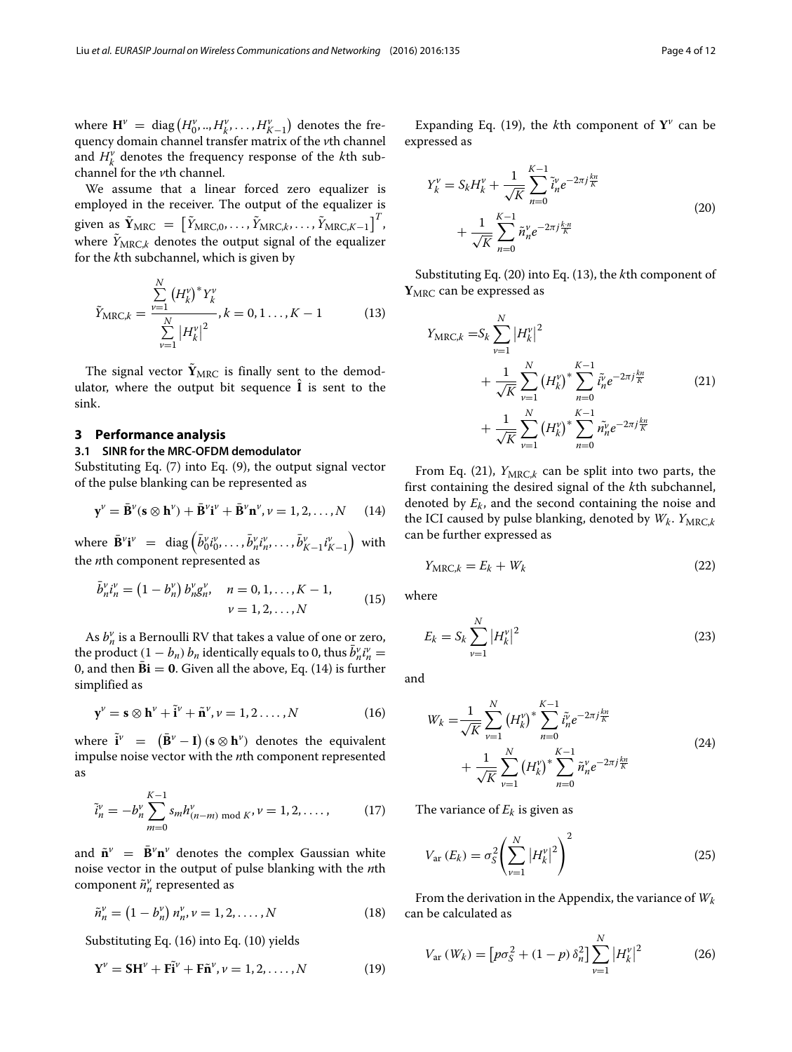We assume that a linear forced zero equalizer is employed in the receiver. The output of the equalizer is given as  $\tilde{Y}_{\text{MRC}} = \left[ \tilde{Y}_{\text{MRC},0}, \dots, \tilde{Y}_{\text{MRC},k}, \dots, \tilde{Y}_{\text{MRC},K-1} \right]^T$ , where  $\tilde{Y}_{\text{MRC},k}$  denotes the output signal of the equalizer for the *k*th subchannel, which is given by

$$
\tilde{Y}_{\text{MRC},k} = \frac{\sum_{\nu=1}^{N} (H_k^{\nu})^* Y_k^{\nu}}{\sum_{\nu=1}^{N} |H_k^{\nu}|^2}, k = 0, 1 \dots, K - 1
$$
\n(13)

The signal vector  $\tilde{\mathbf{Y}}_{\text{MRC}}$  is finally sent to the demodulator, where the output bit sequence **I** is sent to the sink.

#### <span id="page-3-0"></span>**3 Performance analysis**

#### **3.1 SINR for the MRC-OFDM demodulator**

Substituting Eq. [\(7\)](#page-2-1) into Eq. [\(9\)](#page-2-2), the output signal vector of the pulse blanking can be represented as

$$
\mathbf{y}^{\nu} = \bar{\mathbf{B}}^{\nu}(\mathbf{s} \otimes \mathbf{h}^{\nu}) + \bar{\mathbf{B}}^{\nu} \mathbf{i}^{\nu} + \bar{\mathbf{B}}^{\nu} \mathbf{n}^{\nu}, \nu = 1, 2, \dots, N \quad (14)
$$

where  $\bar{\mathbf{B}}^{\nu} \mathbf{i}^{\nu} = \text{diag} \left( \bar{b}_{0}^{\nu} i_{0}^{\nu}, \dots, \bar{b}_{n}^{\nu} i_{n}^{\nu}, \dots, \bar{b}_{K-1}^{\nu} i_{K-1}^{\nu} \right)$  with the *n*th component represented as

$$
\bar{b}_{n}^{v}i_{n}^{v} = (1 - b_{n}^{v}) b_{n}^{v}g_{n}^{v}, \quad n = 0, 1, ..., K - 1, \n v = 1, 2, ..., N
$$
\n(15)

As  $b_n^v$  is a Bernoulli RV that takes a value of one or zero, the product  $(1 - b_n) b_n$  identically equals to 0, thus  $\bar{b}_n^v i_n^v =$ 0, and then  $\mathbf{Bi} = 0$ . Given all the above, Eq. [\(14\)](#page-3-1) is further simplified as

<span id="page-3-2"></span>
$$
\mathbf{y}^{\nu} = \mathbf{s} \otimes \mathbf{h}^{\nu} + \tilde{\mathbf{i}}^{\nu} + \tilde{\mathbf{n}}^{\nu}, \nu = 1, 2 \dots, N \tag{16}
$$

where  $\tilde{\mathbf{i}}^{\nu} = (\bar{\mathbf{B}}^{\nu} - \mathbf{I}) (\mathbf{s} \otimes \mathbf{h}^{\nu})$  denotes the equivalent impulse noise vector with the *n*th component represented as

<span id="page-3-10"></span>
$$
\tilde{i}'_n = -b'_n \sum_{m=0}^{K-1} s_m h''_{(n-m) \bmod K}, \quad \nu = 1, 2, \dots, \tag{17}
$$

and  $\tilde{\mathbf{n}}^{\nu} = \tilde{\mathbf{B}}^{\nu} \mathbf{n}^{\nu}$  denotes the complex Gaussian white noise vector in the output of pulse blanking with the *n*th component  $\tilde{n}^{\nu}_n$  represented as

<span id="page-3-11"></span>
$$
\tilde{n}_n^v = (1 - b_n^v) n_n^v, v = 1, 2, \dots, N
$$
 (18)

Substituting Eq. [\(16\)](#page-3-2) into Eq. [\(10\)](#page-2-3) yields

$$
\mathbf{Y}^{\nu} = \mathbf{S} \mathbf{H}^{\nu} + \mathbf{F} \tilde{\mathbf{i}}^{\nu} + \mathbf{F} \tilde{\mathbf{n}}^{\nu}, \nu = 1, 2, \dots, N
$$
 (19)

Expanding Eq. [\(19\)](#page-3-3), the *k*th component of  $Y^{\nu}$  can be expressed as

<span id="page-3-4"></span>
$$
Y_k^{\nu} = S_k H_k^{\nu} + \frac{1}{\sqrt{K}} \sum_{n=0}^{K-1} \tilde{i}_n^{\nu} e^{-2\pi j \frac{k_n}{K}} + \frac{1}{\sqrt{K}} \sum_{n=0}^{K-1} \tilde{n}_n^{\nu} e^{-2\pi j \frac{k_n}{K}}
$$
(20)

<span id="page-3-5"></span>Substituting Eq. [\(20\)](#page-3-4) into Eq. [\(13\)](#page-3-5), the *k*th component of **Y**MRC can be expressed as

<span id="page-3-6"></span>
$$
Y_{\text{MRC},k} = S_k \sum_{\nu=1}^{N} |H_k^{\nu}|^2 + \frac{1}{\sqrt{K}} \sum_{\nu=1}^{N} (H_k^{\nu})^* \sum_{n=0}^{K-1} \tilde{i}_{n}^{\nu} e^{-2\pi j \frac{k n}{K}} + \frac{1}{\sqrt{K}} \sum_{\nu=1}^{N} (H_k^{\nu})^* \sum_{n=0}^{K-1} \tilde{n}_{n}^{\nu} e^{-2\pi j \frac{k n}{K}}
$$
(21)

<span id="page-3-1"></span>From Eq. [\(21\)](#page-3-6),  $Y_{\text{MRC},k}$  can be split into two parts, the first containing the desired signal of the *k*th subchannel, denoted by *Ek*, and the second containing the noise and the ICI caused by pulse blanking, denoted by  $W_k$ .  $Y_{MRC,k}$ can be further expressed as

$$
Y_{\text{MRC},k} = E_k + W_k \tag{22}
$$

where

$$
E_k = S_k \sum_{\nu=1}^{N} |H_k^{\nu}|^2
$$
 (23)

<span id="page-3-9"></span>and

$$
W_k = \frac{1}{\sqrt{K}} \sum_{\nu=1}^{N} (H_k^{\nu})^* \sum_{n=0}^{K-1} \tilde{t}_n^{\nu} e^{-2\pi j \frac{k_n}{K}} + \frac{1}{\sqrt{K}} \sum_{\nu=1}^{N} (H_k^{\nu})^* \sum_{n=0}^{K-1} \tilde{n}_n^{\nu} e^{-2\pi j \frac{k_n}{K}}
$$
(24)

The variance of *Ek* is given as

<span id="page-3-7"></span>
$$
V_{\text{ar}}\left(E_{k}\right) = \sigma_{S}^{2} \left(\sum_{\nu=1}^{N} \left|H_{k}^{\nu}\right|^{2}\right)^{2} \tag{25}
$$

<span id="page-3-3"></span>From the derivation in the [Appendix,](#page-10-1) the variance of *Wk* can be calculated as

<span id="page-3-8"></span>
$$
V_{\text{ar}}\left(W_{k}\right) = \left[p\sigma_{S}^{2} + (1-p)\,\delta_{n}^{2}\right] \sum_{\nu=1}^{N} \left|H_{k}^{\nu}\right|^{2} \tag{26}
$$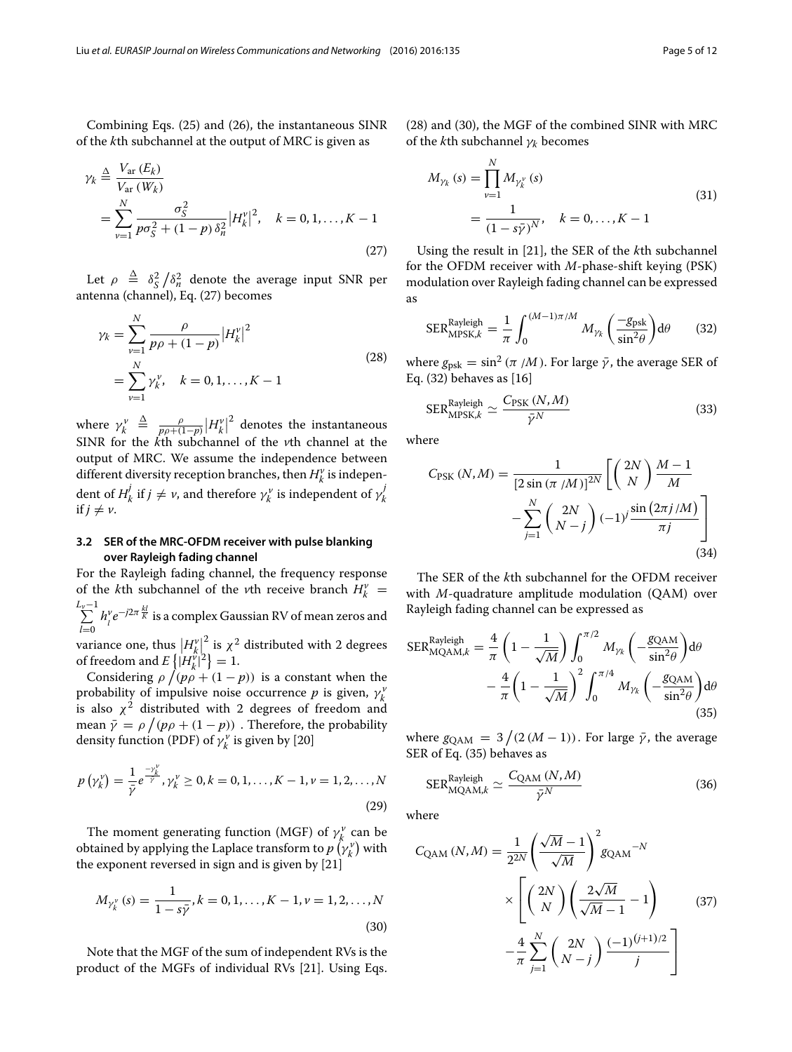Combining Eqs. [\(25\)](#page-3-7) and [\(26\)](#page-3-8), the instantaneous SINR of the *k*th subchannel at the output of MRC is given as

$$
\gamma_k \stackrel{\Delta}{=} \frac{V_{\text{ar}}(E_k)}{V_{\text{ar}}(W_k)}
$$
  
= 
$$
\sum_{\nu=1}^N \frac{\sigma_S^2}{p\sigma_S^2 + (1-p)\,\delta_n^2} |H_k^{\nu}|^2, \quad k = 0, 1, ..., K - 1
$$
 (27)

Let  $\rho \triangleq \delta_S^2 / \delta_n^2$  denote the average input SNR per antenna (channel), Eq. [\(27\)](#page-4-0) becomes

$$
\gamma_k = \sum_{\nu=1}^N \frac{\rho}{p\rho + (1-p)} |H_k^{\nu}|^2
$$
  
= 
$$
\sum_{\nu=1}^N \gamma_k^{\nu}, \quad k = 0, 1, ..., K - 1
$$
 (28)

where  $\gamma_k^{\nu}$  $\triangleq \frac{\rho}{p\rho+(1-p)}|H_k^{\nu}|^2$  denotes the instantaneous SINR for the *k*th subchannel of the *v*th channel at the output of MRC. We assume the independence between different diversity reception branches, then  $H_k^{\nu}$  is independent of  $H_k^j$  if  $j \neq v$ , and therefore  $\gamma_k^v$  is independent of  $\gamma_k^j$ if  $j \neq \nu$ .

#### <span id="page-4-7"></span>**3.2 SER of the MRC-OFDM receiver with pulse blanking over Rayleigh fading channel**

For the Rayleigh fading channel, the frequency response of the *k*th subchannel of the *v*th receive branch  $H_k^{\nu}$  = *L*<sub>v</sub>−1</sup><br>  $\sum$ *l*=0 *hv l e*−*j*2<sup>π</sup> *kl <sup>K</sup>* is a complex Gaussian RV of mean zeros and variance one, thus  $|H^{\nu}_k|^2$  is  $\chi^2$  distributed with 2 degrees

of freedom and  $E\left\{|H_k^{\nu}|^2\right\}=1$ .

Considering  $\rho / (p\rho + (1 - p))$  is a constant when the probability of impulsive noise occurrence *p* is given,  $\gamma_k^v$ is also  $\chi^2$  distributed with 2 degrees of freedom and mean  $\bar{\gamma} = \rho / (p\rho + (1 - p))$  . Therefore, the probability density function (PDF) of  $\gamma_k^{\nu}$  is given by [\[20\]](#page-11-17)

$$
p(\gamma_k^{\nu}) = \frac{1}{\bar{\gamma}} e^{\frac{-\gamma_k^{\nu}}{\bar{\gamma}}}, \gamma_k^{\nu} \ge 0, k = 0, 1, ..., K - 1, \nu = 1, 2, ..., N
$$
\n(29)

The moment generating function (MGF) of  $\gamma_k^{\nu}$  can be obtained by applying the Laplace transform to  $p\left(\gamma^{\nu}_{k}\right)$  with the exponent reversed in sign and is given by [\[21\]](#page-11-18)

$$
M_{\gamma_k^{\nu}}(s) = \frac{1}{1 - s\bar{\gamma}}, k = 0, 1, \dots, K - 1, \nu = 1, 2, \dots, N
$$
\n(30)

Note that the MGF of the sum of independent RVs is the product of the MGFs of individual RVs [\[21\]](#page-11-18). Using Eqs. <span id="page-4-0"></span>[\(28\)](#page-4-1) and [\(30\)](#page-4-2), the MGF of the combined SINR with MRC of the *k*th subchannel γ*<sup>k</sup>* becomes

$$
M_{\gamma_k}(s) = \prod_{\nu=1}^{N} M_{\gamma_k^{\nu}}(s)
$$
  
= 
$$
\frac{1}{(1 - s\bar{\gamma})^N}, \quad k = 0, ..., K - 1
$$
 (31)

<span id="page-4-1"></span>Using the result in [\[21\]](#page-11-18), the SER of the *k*th subchannel for the OFDM receiver with *M*-phase-shift keying (PSK) modulation over Rayleigh fading channel can be expressed as

<span id="page-4-3"></span>
$$
SER_{MPSK,k}^{Rayleigh} = \frac{1}{\pi} \int_0^{(M-1)\pi/M} M_{\gamma_k} \left(\frac{-g_{psk}}{\sin^2 \theta}\right) d\theta \qquad (32)
$$

where  $g_{psk} = \sin^2 (\pi /M)$ . For large  $\bar{\gamma}$ , the average SER of Eq. [\(32\)](#page-4-3) behaves as [\[16\]](#page-11-10)

<span id="page-4-5"></span>
$$
SER_{MPSK,k}^{Rayleigh} \simeq \frac{C_{PSK} (N,M)}{\bar{\gamma}^N}
$$
 (33)

where

$$
C_{\rm PSK} (N, M) = \frac{1}{[2 \sin (\pi / M)]^{2N}} \left[ \binom{2N}{N} \frac{M - 1}{M} - \sum_{j=1}^{N} \binom{2N}{N - j} (-1)^j \frac{\sin (2\pi j / M)}{\pi j} \right]
$$
(34)

The SER of the *k*th subchannel for the OFDM receiver with *M*-quadrature amplitude modulation (QAM) over Rayleigh fading channel can be expressed as

<span id="page-4-4"></span>
$$
SER_{MQAM,k}^{Rayleigh} = \frac{4}{\pi} \left( 1 - \frac{1}{\sqrt{M}} \right) \int_0^{\pi/2} M_{\gamma_k} \left( -\frac{g_{QAM}}{\sin^2 \theta} \right) d\theta - \frac{4}{\pi} \left( 1 - \frac{1}{\sqrt{M}} \right)^2 \int_0^{\pi/4} M_{\gamma_k} \left( -\frac{g_{QAM}}{\sin^2 \theta} \right) d\theta
$$
(35)

where  $g_{\text{QAM}} = 3/(2(M-1))$ . For large  $\bar{\gamma}$ , the average SER of Eq. [\(35\)](#page-4-4) behaves as

<span id="page-4-6"></span>
$$
SER_{MQAM,k}^{Rayleigh} \simeq \frac{C_{QAM} (N,M)}{\bar{\gamma}^N}
$$
 (36)

where

<span id="page-4-2"></span>
$$
C_{QAM} (N, M) = \frac{1}{2^{2N}} \left( \frac{\sqrt{M} - 1}{\sqrt{M}} \right)^2 g_{QAM}^{-N}
$$

$$
\times \left[ \left( \frac{2N}{N} \right) \left( \frac{2\sqrt{M}}{\sqrt{M} - 1} - 1 \right) \right] (37)
$$

$$
- \frac{4}{\pi} \sum_{j=1}^{N} \left( \frac{2N}{N - j} \right) \frac{(-1)^{(j+1)/2}}{j}
$$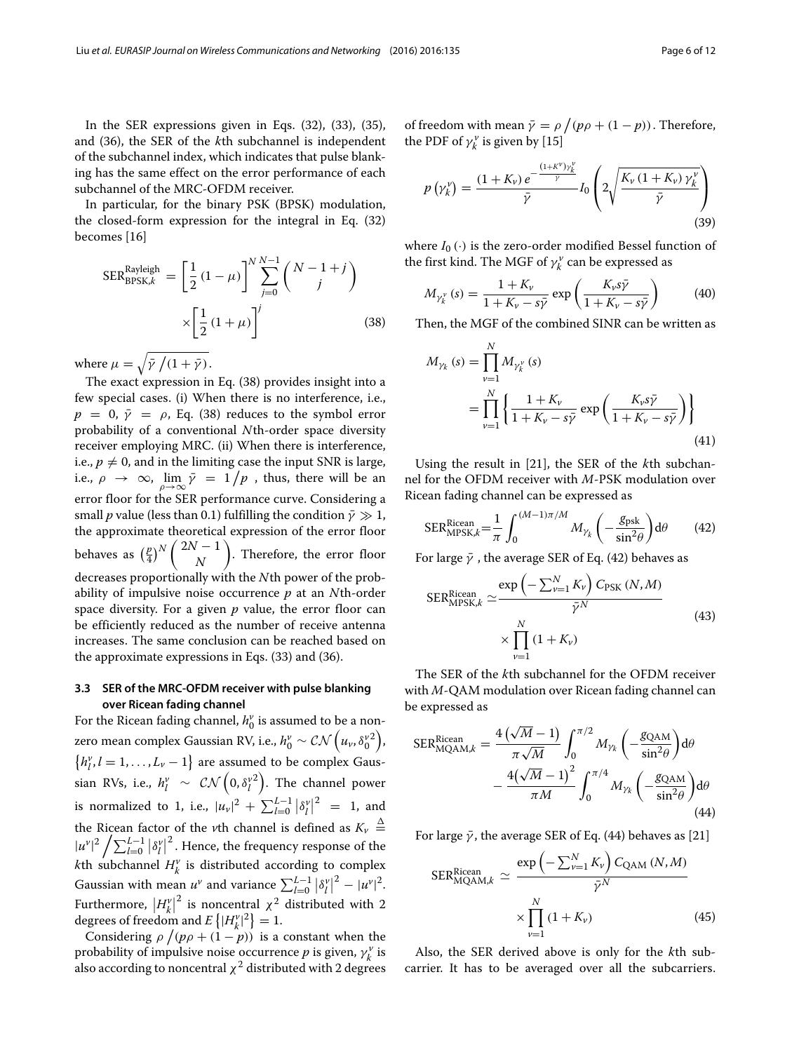In the SER expressions given in Eqs. [\(32\)](#page-4-3), [\(33\)](#page-4-5), [\(35\)](#page-4-4), and [\(36\)](#page-4-6), the SER of the *k*th subchannel is independent of the subchannel index, which indicates that pulse blanking has the same effect on the error performance of each subchannel of the MRC-OFDM receiver.

In particular, for the binary PSK (BPSK) modulation, the closed-form expression for the integral in Eq. [\(32\)](#page-4-3) becomes [\[16\]](#page-11-10)

<span id="page-5-0"></span>
$$
SER_{BPSK,k}^{Rayleigh} = \left[\frac{1}{2}(1-\mu)\right]^{N}\sum_{j=0}^{N-1} \binom{N-1+j}{j}
$$

$$
\times \left[\frac{1}{2}(1+\mu)\right]^j
$$
(38)

where  $\mu = \sqrt{\bar{\gamma}/(1+\bar{\gamma})}$ .

The exact expression in Eq. [\(38\)](#page-5-0) provides insight into a few special cases. (i) When there is no interference, i.e.,  $p = 0, \bar{y} = \rho$ , Eq. [\(38\)](#page-5-0) reduces to the symbol error probability of a conventional *N*th-order space diversity receiver employing MRC. (ii) When there is interference, i.e.,  $p \neq 0$ , and in the limiting case the input SNR is large, i.e.,  $\rho \rightarrow \infty$ ,  $\lim_{\rho \to \infty} \bar{\gamma} = 1/p$ , thus, there will be an error floor for the SER performance curve. Considering a small  $p$  value (less than 0.1) fulfilling the condition  $\bar{\gamma}\gg 1$ , the approximate theoretical expression of the error floor behaves as  $\left(\frac{p}{4}\right)^N\left(\frac{2N-1}{N}\right)$ *N* . Therefore, the error floor decreases proportionally with the *N*th power of the probability of impulsive noise occurrence *p* at an *N*th-order space diversity. For a given *p* value, the error floor can be efficiently reduced as the number of receive antenna increases. The same conclusion can be reached based on the approximate expressions in Eqs. [\(33\)](#page-4-5) and [\(36\)](#page-4-6).

#### **3.3 SER of the MRC-OFDM receiver with pulse blanking over Ricean fading channel**

For the Ricean fading channel,  $h_0^v$  is assumed to be a nonzero mean complex Gaussian RV, i.e.,  $h_0^{\nu} \sim \mathcal{CN}\left(u_{\nu}, \delta_0^{\nu 2}\right)$ ,  $\{h_l^{\nu}, l = 1, \ldots, L_{\nu} - 1\}$  are assumed to be complex Gaussian RVs, i.e.,  $h_l^{\nu} \sim \ \mathcal{CN}\left(0,\delta_l^{\nu2}\right)$ . The channel power is normalized to 1, i.e.,  $|u_v|^2 + \sum_{l=0}^{L-1} |\delta_l^v|^2 = 1$ , and the Ricean factor of the *v*th channel is defined as  $K_v \triangleq$  $|u^{\nu}|^{2} \left/ \sum_{l=0}^{L-1} |\delta_{l}^{\nu}| \right.$  $^2$ . Hence, the frequency response of the *k*th subchannel  $H_k^{\nu}$  is distributed according to complex Gaussian with mean  $u^{\nu}$  and variance  $\sum_{l=0}^{L-1} |\delta_l^{\nu}|^2 - |u^{\nu}|^2$ . Furthermore,  $|H_k^{\nu}|^2$  is noncentral  $\chi^2$  distributed with 2 degrees of freedom and  $E\left\{|H_k^{\nu}|^2\right\}=1$ .

Considering  $\rho / (p\rho + (1 - p))$  is a constant when the probability of impulsive noise occurrence *p* is given,  $\gamma_k^{\nu}$  is also according to noncentral  $\chi^2$  distributed with 2 degrees of freedom with mean  $\bar{\gamma} = \rho / (p\rho + (1 - p))$ . Therefore, the PDF of  $\gamma_k^{\nu}$  is given by [\[15\]](#page-11-13)

$$
p(\gamma_k^{\nu}) = \frac{(1 + K_{\nu}) e^{-\frac{(1 + K^{\nu})\gamma_k^{\nu}}{\tilde{\gamma}}}}{\tilde{\nu}} I_0 \left( 2 \sqrt{\frac{K_{\nu} (1 + K_{\nu}) \gamma_k^{\nu}}{\tilde{\gamma}}} \right)
$$
\n(39)

where  $I_0(\cdot)$  is the zero-order modified Bessel function of the first kind. The MGF of  $\gamma_k^\nu$  can be expressed as

$$
M_{\gamma_k^{\nu}}(s) = \frac{1 + K_{\nu}}{1 + K_{\nu} - s\bar{\nu}} \exp\left(\frac{K_{\nu}s\bar{\nu}}{1 + K_{\nu} - s\bar{\nu}}\right) \tag{40}
$$

Then, the MGF of the combined SINR can be written as

$$
M_{\gamma_k}(s) = \prod_{\nu=1}^{N} M_{\gamma_k^{\nu}}(s)
$$
  
= 
$$
\prod_{\nu=1}^{N} \left\{ \frac{1 + K_{\nu}}{1 + K_{\nu} - s\bar{\gamma}} \exp\left(\frac{K_{\nu}s\bar{\gamma}}{1 + K_{\nu} - s\bar{\gamma}}\right) \right\}
$$
(41)

Using the result in [\[21\]](#page-11-18), the SER of the *k*th subchannel for the OFDM receiver with *M*-PSK modulation over Ricean fading channel can be expressed as

<span id="page-5-1"></span>
$$
SER_{MPSK,k}^{Ricean} = \frac{1}{\pi} \int_0^{(M-1)\pi/M} M_{\gamma_k} \left( -\frac{g_{psk}}{\sin^2 \theta} \right) d\theta \tag{42}
$$

For large  $\bar{\gamma}$  , the average SER of Eq. [\(42\)](#page-5-1) behaves as

$$
SER_{MPSK,k}^{Ricean} \simeq \frac{\exp\left(-\sum_{\nu=1}^{N} K_{\nu}\right) C_{PSK}\left(N,M\right)}{\bar{\nu}^{N}}
$$
\n
$$
\times \prod_{\nu=1}^{N} \left(1 + K_{\nu}\right)
$$
\n(43)

The SER of the *k*th subchannel for the OFDM receiver with *M*-QAM modulation over Ricean fading channel can be expressed as

<span id="page-5-2"></span>
$$
SER_{MQAM,k}^{Ricean} = \frac{4(\sqrt{M}-1)}{\pi\sqrt{M}} \int_0^{\pi/2} M_{\gamma_k} \left(-\frac{g_{QAM}}{\sin^2\theta}\right) d\theta
$$

$$
-\frac{4(\sqrt{M}-1)^2}{\pi M} \int_0^{\pi/4} M_{\gamma_k} \left(-\frac{g_{QAM}}{\sin^2\theta}\right) d\theta
$$
(44)

For large  $\bar{\gamma}$ , the average SER of Eq. [\(44\)](#page-5-2) behaves as [\[21\]](#page-11-18)

<span id="page-5-3"></span>
$$
SER_{MQAM,k}^{Ricean} \simeq \frac{\exp\left(-\sum_{\nu=1}^{N} K_{\nu}\right) C_{QAM} (N,M)}{\bar{\gamma}^{N}}
$$

$$
\times \prod_{\nu=1}^{N} (1 + K_{\nu})
$$
(45)

Also, the SER derived above is only for the *k*th subcarrier. It has to be averaged over all the subcarriers.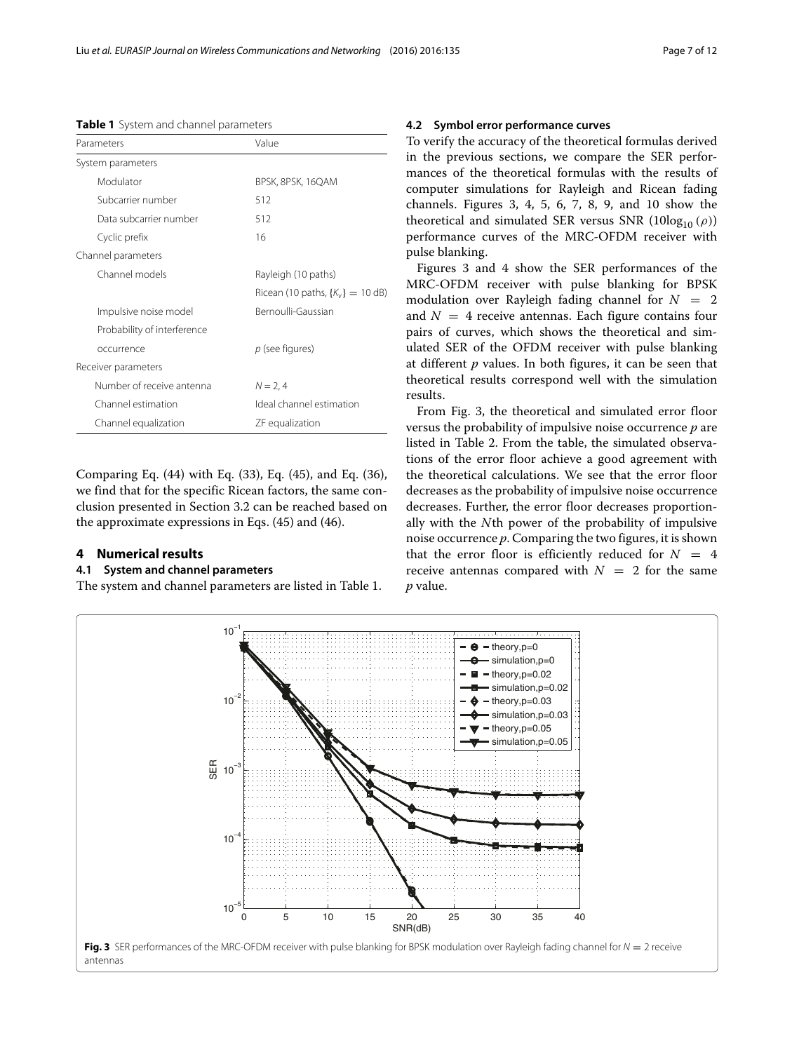Comparing Eq. [\(44\)](#page-5-2) with Eq. [\(33\)](#page-4-5), Eq. [\(45\)](#page-5-3), and Eq. [\(36\)](#page-4-6), we find that for the specific Ricean factors, the same conclusion presented in Section [3.2](#page-4-7) can be reached based on the approximate expressions in Eqs. [\(45\)](#page-5-3) and [\(46\)](#page-10-2).

Channel estimation **Ideal channel estimation** 

#### <span id="page-6-0"></span>**4 Numerical results**

#### **4.1 System and channel parameters**

<span id="page-6-1"></span>**Table 1** System and channel parameters Parameters Value

> Subcarrier number 512 Data subcarrier number 512 Cyclic prefix 16

Modulator BPSK, 8PSK, 16QAM

Channel models Rayleigh (10 paths)

Impulsive noise model Bernoulli-Gaussian

 $\Gamma$  occurrence  $\rho$  (see figures)

Channel equalization **ZF** equalization

Number of receive antenna  $N = 2, 4$ 

System parameters

Channel parameters

Receiver parameters

Probability of interference

The system and channel parameters are listed in Table [1.](#page-6-1)

10−1

10−2

#### **4.2 Symbol error performance curves**

To verify the accuracy of the theoretical formulas derived in the previous sections, we compare the SER performances of the theoretical formulas with the results of computer simulations for Rayleigh and Ricean fading channels. Figures [3,](#page-6-2) [4,](#page-7-0) [5,](#page-7-1) [6,](#page-8-1) [7,](#page-8-2) [8,](#page-9-0) [9,](#page-9-1) and [10](#page-10-3) show the theoretical and simulated SER versus SNR  $(10log_{10}(\rho))$ performance curves of the MRC-OFDM receiver with pulse blanking.

Figures [3](#page-6-2) and [4](#page-7-0) show the SER performances of the MRC-OFDM receiver with pulse blanking for BPSK modulation over Rayleigh fading channel for  $N = 2$ and  $N = 4$  receive antennas. Each figure contains four pairs of curves, which shows the theoretical and simulated SER of the OFDM receiver with pulse blanking at different *p* values. In both figures, it can be seen that theoretical results correspond well with the simulation results.

From Fig. [3,](#page-6-2) the theoretical and simulated error floor versus the probability of impulsive noise occurrence *p* are listed in Table [2.](#page-10-4) From the table, the simulated observations of the error floor achieve a good agreement with the theoretical calculations. We see that the error floor decreases as the probability of impulsive noise occurrence decreases. Further, the error floor decreases proportionally with the *N*th power of the probability of impulsive noise occurrence *p*. Comparing the two figures, it is shown that the error floor is efficiently reduced for  $N = 4$ receive antennas compared with  $N = 2$  for the same *p* value.

> $\Theta$  = theory,  $p=0$ simulation, p=0  $-$  theory,  $p=0.02$ simulation,p=0.02 theory,p=0.03 simulation,p=0.03

<span id="page-6-2"></span>

Ricean (10 paths,  $\{K_v\} = 10$  dB)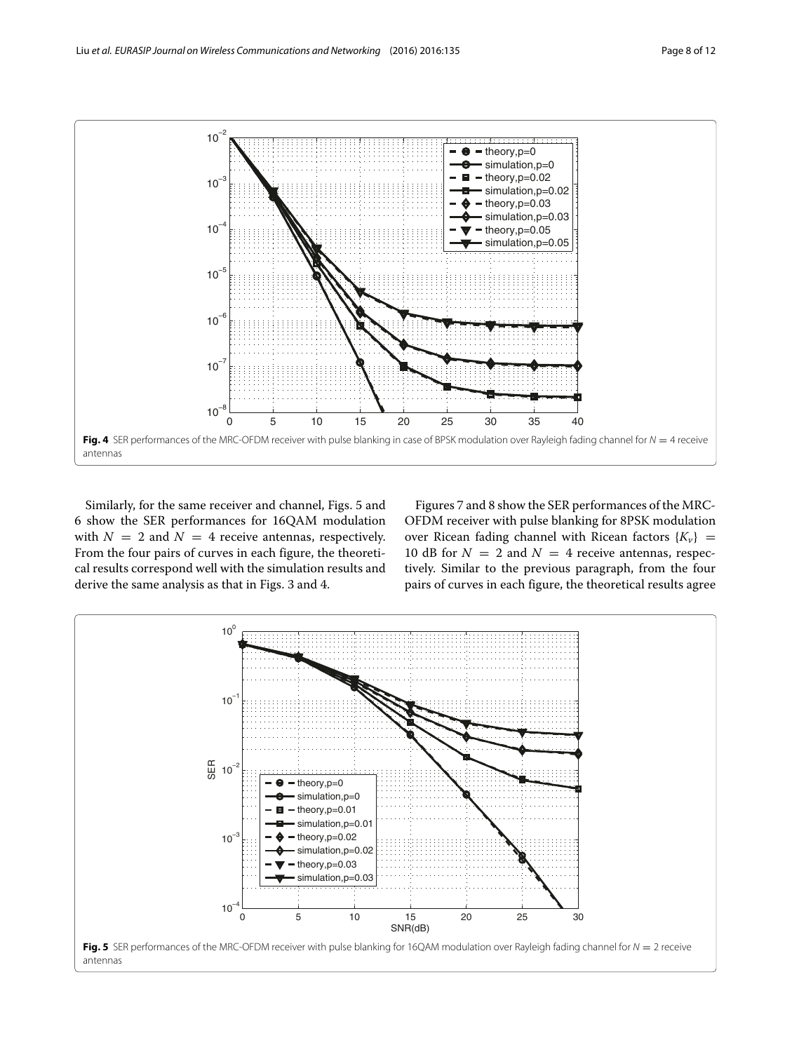

<span id="page-7-0"></span>Similarly, for the same receiver and channel, Figs. [5](#page-7-1) and [6](#page-8-1) show the SER performances for 16QAM modulation with  $N = 2$  and  $N = 4$  receive antennas, respectively. From the four pairs of curves in each figure, the theoretical results correspond well with the simulation results and derive the same analysis as that in Figs. [3](#page-6-2) and [4.](#page-7-0)

Figures [7](#page-8-2) and [8](#page-9-0) show the SER performances of the MRC-OFDM receiver with pulse blanking for 8PSK modulation over Ricean fading channel with Ricean factors  ${K_v}$  = 10 dB for  $N = 2$  and  $N = 4$  receive antennas, respectively. Similar to the previous paragraph, from the four pairs of curves in each figure, the theoretical results agree

<span id="page-7-1"></span>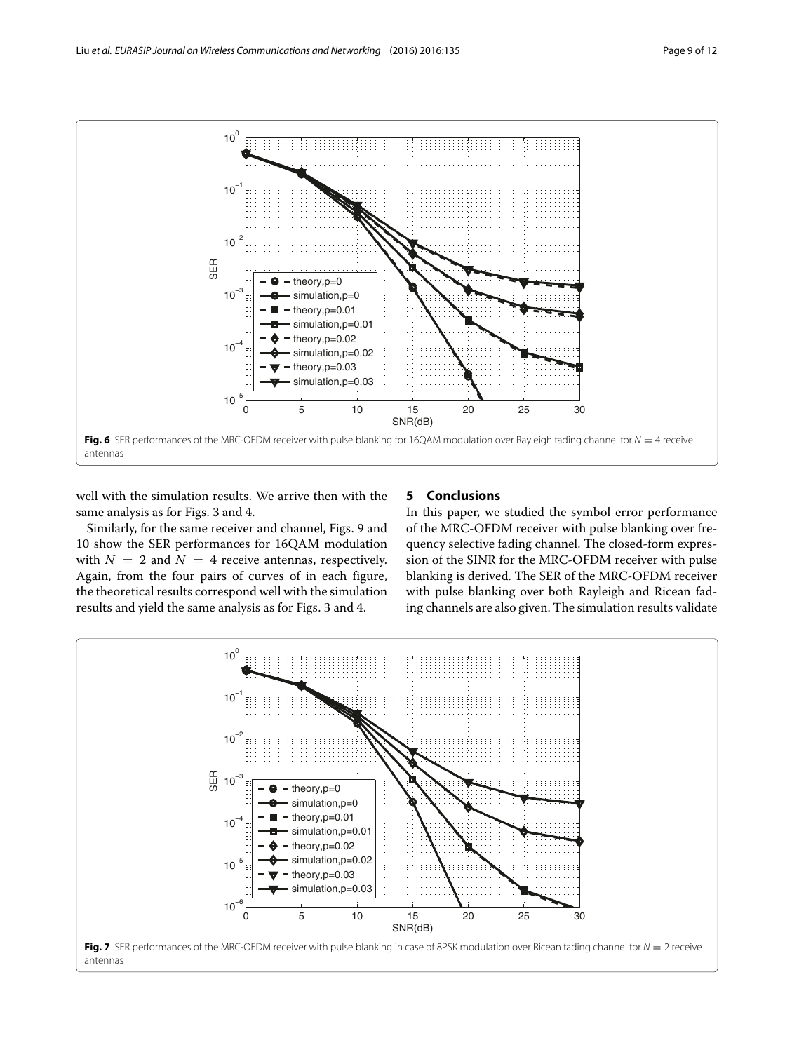

<span id="page-8-1"></span>well with the simulation results. We arrive then with the same analysis as for Figs. [3](#page-6-2) and [4.](#page-7-0)

Similarly, for the same receiver and channel, Figs. [9](#page-9-1) and [10](#page-10-3) show the SER performances for 16QAM modulation with  $N = 2$  and  $N = 4$  receive antennas, respectively. Again, from the four pairs of curves of in each figure, the theoretical results correspond well with the simulation results and yield the same analysis as for Figs. [3](#page-6-2) and [4.](#page-7-0)

## <span id="page-8-0"></span>**5 Conclusions**

In this paper, we studied the symbol error performance of the MRC-OFDM receiver with pulse blanking over frequency selective fading channel. The closed-form expression of the SINR for the MRC-OFDM receiver with pulse blanking is derived. The SER of the MRC-OFDM receiver with pulse blanking over both Rayleigh and Ricean fading channels are also given. The simulation results validate

<span id="page-8-2"></span>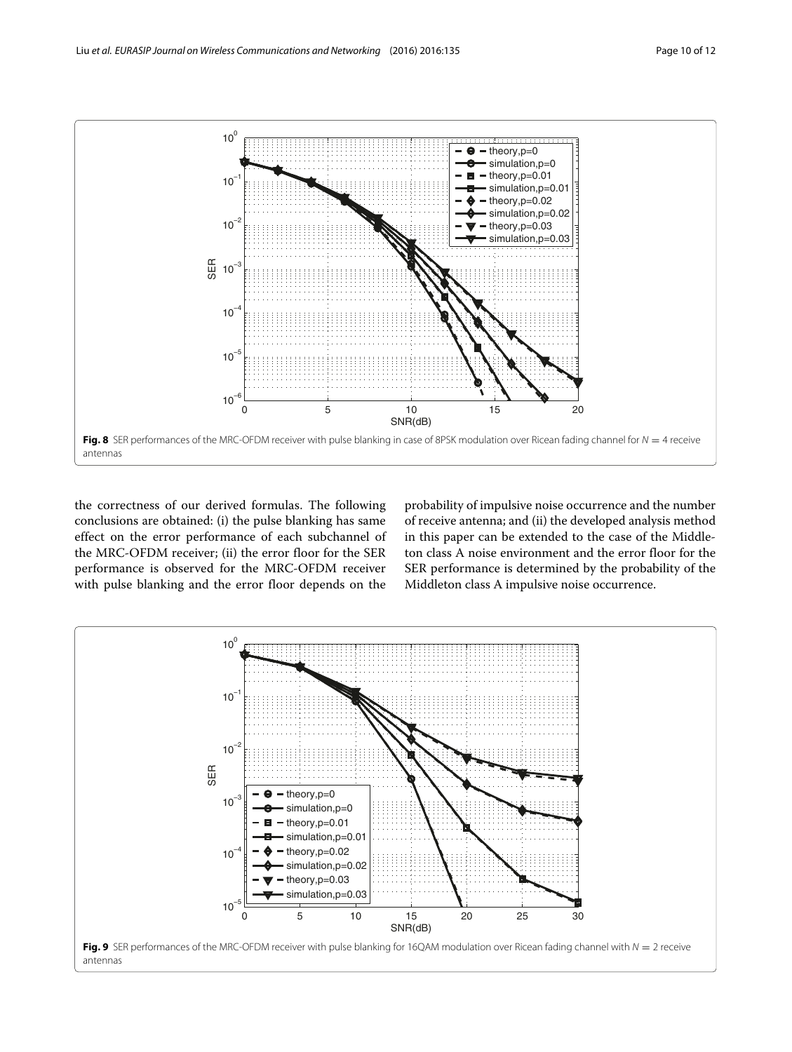

<span id="page-9-0"></span>the correctness of our derived formulas. The following conclusions are obtained: (i) the pulse blanking has same effect on the error performance of each subchannel of the MRC-OFDM receiver; (ii) the error floor for the SER performance is observed for the MRC-OFDM receiver with pulse blanking and the error floor depends on the

probability of impulsive noise occurrence and the number of receive antenna; and (ii) the developed analysis method in this paper can be extended to the case of the Middleton class A noise environment and the error floor for the SER performance is determined by the probability of the Middleton class A impulsive noise occurrence.

<span id="page-9-1"></span>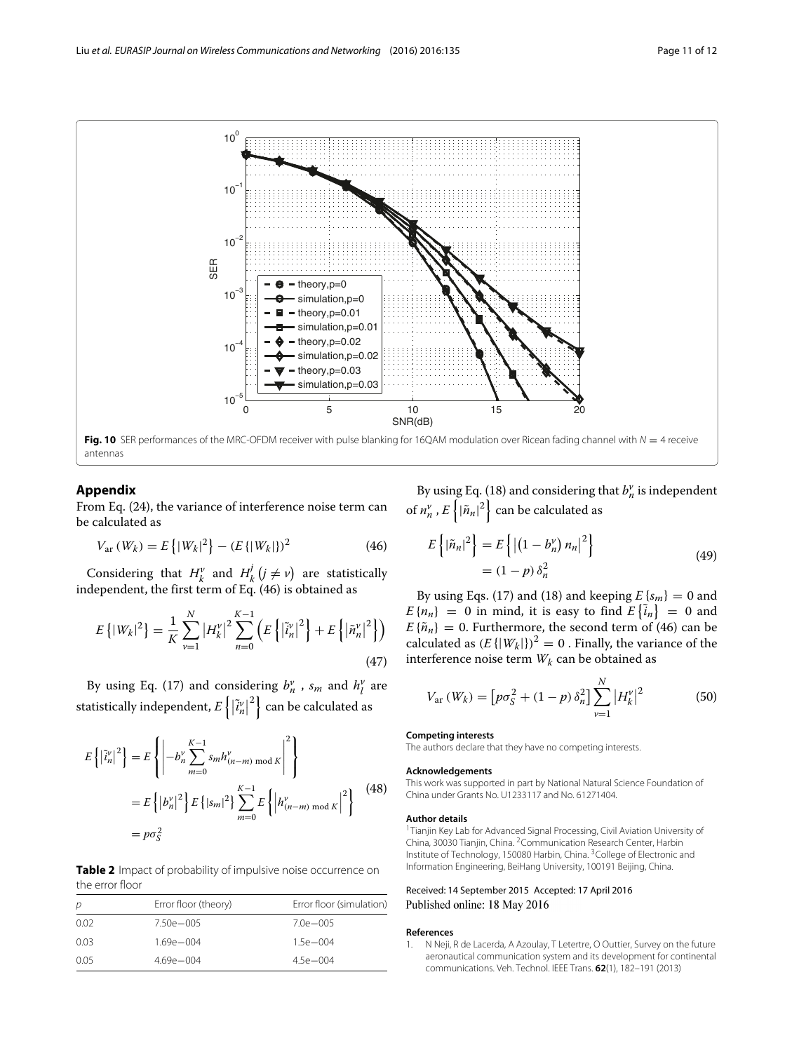

#### <span id="page-10-3"></span>**Appendix**

<span id="page-10-1"></span>From Eq. [\(24\)](#page-3-9), the variance of interference noise term can be calculated as

<span id="page-10-2"></span>
$$
V_{\text{ar}}\left(W_{k}\right) = E\left\{|W_{k}|^{2}\right\} - (E\left\{|W_{k}|\right\})^{2}
$$
\n(46)

Considering that  $H_k^{\nu}$  and  $H_k^j$   $(j \neq \nu)$  are statistically independent, the first term of Eq. [\(46\)](#page-10-2) is obtained as

$$
E\{|W_k|^2\} = \frac{1}{K} \sum_{\nu=1}^{N} |H_k^{\nu}|^2 \sum_{n=0}^{K-1} \left( E\left\{ |\tilde{i}_n^{\nu}|^2 \right\} + E\left\{ |\tilde{n}_n^{\nu}|^2 \right\} \right)
$$
\n(47)

By using Eq. [\(17\)](#page-3-10) and considering  $b_n^v$ ,  $s_m$  and  $h_l^v$  are statistically independent,  $E\left\{ \left|\tilde{i}_n^\nu\right|\right.$  $\left\{ \begin{array}{ll} 2 \ 2 \end{array} \right\}$  can be calculated as

$$
E\left\{\left|\tilde{i}'_n\right|^2\right\} = E\left\{\left|-b''_n \sum_{m=0}^{K-1} s_m h_{(n-m)\bmod K}^v\right|^2\right\}
$$
  
= 
$$
E\left\{|b''_n|^2\right\} E\left\{|s_m|^2\right\} \sum_{m=0}^{K-1} E\left\{\left|h_{(n-m)\bmod K}^v\right|^2\right\} \tag{48}
$$
  
= 
$$
p\sigma_S^2
$$

<span id="page-10-4"></span>**Table 2** Impact of probability of impulsive noise occurrence on the error floor

| р    | Error floor (theory) | Error floor (simulation) |
|------|----------------------|--------------------------|
| 0.02 | 7.50e-005            | $7.0e - 005$             |
| 0.03 | $1.69e - 004$        | $15e - 004$              |
| 0.05 | $4.69e - 004$        | $4.5e - 004$             |

By using Eq.  $(18)$  and considering that  $b_n^{\nu}$  is independent of  $n_n^v$  ,  $E\left\{\left|\tilde{n}_n\right|^2\right\}$  can be calculated as

$$
E\left\{ |\tilde{n}_n|^2 \right\} = E\left\{ \left| \left( 1 - b_n^{\nu} \right) n_n \right|^2 \right\}
$$
  
= 
$$
(1 - p) \delta_n^2
$$
 (49)

By using Eqs. [\(17\)](#page-3-10) and [\(18\)](#page-3-11) and keeping  $E\{s_m\} = 0$  and  $E\{n_n\} = 0$  in mind, it is easy to find  $E\{\tilde{i}_n\} = 0$  and  $E\{\tilde{n}_n\} = 0$ . Furthermore, the second term of [\(46\)](#page-10-2) can be calculated as  $(E\{|W_k|\})^2 = 0$  . Finally, the variance of the interference noise term  $W_k$  can be obtained as

$$
V_{\text{ar}}\left(W_{k}\right) = \left[p\sigma_{S}^{2} + (1-p)\,\delta_{n}^{2}\right] \sum_{\nu=1}^{N} \left|H_{k}^{\nu}\right|^{2} \tag{50}
$$

#### **Competing interests**

The authors declare that they have no competing interests.

#### **Acknowledgements**

This work was supported in part by National Natural Science Foundation of China under Grants No. U1233117 and No. 61271404.

#### **Author details**

<sup>1</sup> Tianjin Key Lab for Advanced Signal Processing, Civil Aviation University of China, 30030 Tianjin, China. 2Communication Research Center, Harbin Institute of Technology, 150080 Harbin, China. 3College of Electronic and Information Engineering, BeiHang University, 100191 Beijing, China.

#### Received: 14 September 2015 Accepted: 17 April 2016 Published online: 18 May 2016

#### **References**

<span id="page-10-0"></span>1. N Neji, R de Lacerda, A Azoulay, T Letertre, O Outtier, Survey on the future aeronautical communication system and its development for continental communications. Veh. Technol. IEEE Trans. **62**(1), 182–191 (2013)